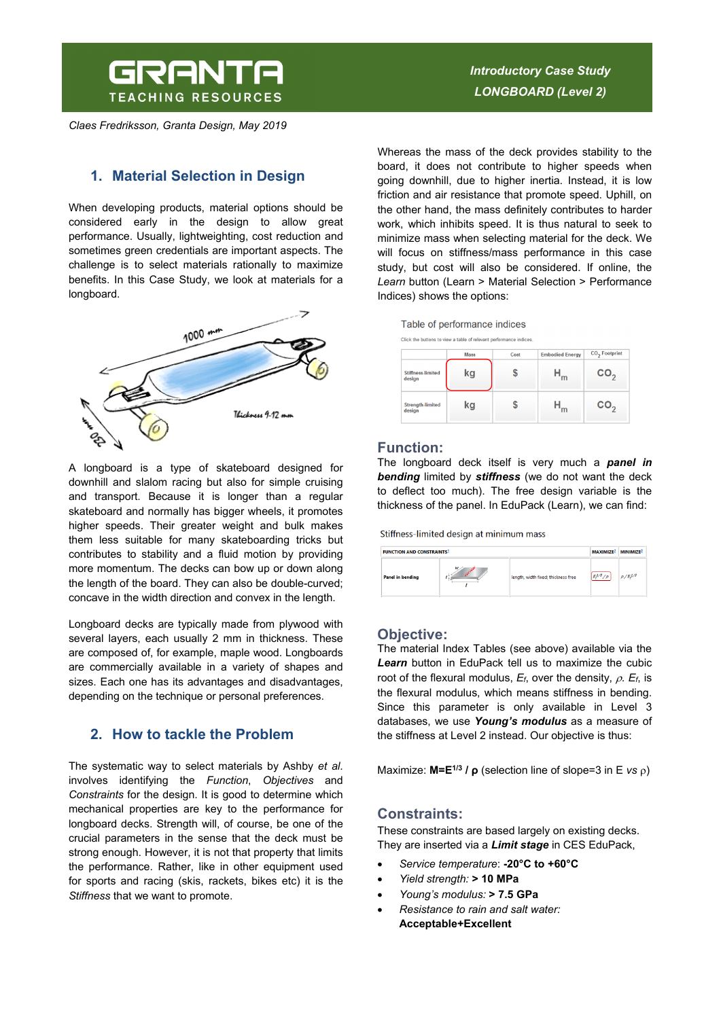# GRANTA **TEACHING RESOURCES**

*Claes Fredriksson, Granta Design, May 2019* 

# *Introductory Case Study LONGBOARD (Level 2)*

# **1. Material Selection in Design**

When developing products, material options should be considered early in the design to allow great performance. Usually, lightweighting, cost reduction and sometimes green credentials are important aspects. The challenge is to select materials rationally to maximize benefits. In this Case Study, we look at materials for a longboard.



A longboard is a type of skateboard designed for downhill and slalom racing but also for simple cruising and transport. Because it is longer than a regular skateboard and normally has bigger wheels, it promotes higher speeds. Their greater weight and bulk makes them less suitable for many skateboarding tricks but contributes to stability and a fluid motion by providing more momentum. The decks can bow up or down along the length of the board. They can also be double-curved; concave in the width direction and convex in the length.

Longboard decks are typically made from plywood with several layers, each usually 2 mm in thickness. These are composed of, for example, maple wood. Longboards are commercially available in a variety of shapes and sizes. Each one has its advantages and disadvantages, depending on the technique or personal preferences.

# **2. How to tackle the Problem**

The systematic way to select materials by Ashby *et al*. involves identifying the *Function*, *Objectives* and *Constraints* for the design. It is good to determine which mechanical properties are key to the performance for longboard decks. Strength will, of course, be one of the crucial parameters in the sense that the deck must be strong enough. However, it is not that property that limits the performance. Rather, like in other equipment used for sports and racing (skis, rackets, bikes etc) it is the *Stiffness* that we want to promote.

Whereas the mass of the deck provides stability to the board, it does not contribute to higher speeds when going downhill, due to higher inertia. Instead, it is low friction and air resistance that promote speed. Uphill, on the other hand, the mass definitely contributes to harder work, which inhibits speed. It is thus natural to seek to minimize mass when selecting material for the deck. We will focus on stiffness/mass performance in this case study, but cost will also be considered. If online, the *Learn* button (Learn > Material Selection > Performance Indices) shows the options:

Table of performance indices

Click the buttons to view a table of relevant performance

|                                    | <b>Mass</b> | Cost | <b>Embodied Energy</b> | CO <sub>2</sub> Footprint |  |
|------------------------------------|-------------|------|------------------------|---------------------------|--|
| <b>Stiffness-limited</b><br>design | kg          |      | m                      | CO <sub>2</sub>           |  |
| <b>Strength-limited</b><br>design  | kg          |      | 'n                     | CO,                       |  |

#### **Function:**

The longboard deck itself is very much a *panel in bending* limited by *stiffness* (we do not want the deck to deflect too much). The free design variable is the thickness of the panel. In EduPack (Learn), we can find:

Stiffness-limited design at minimum mass

| <b>FUNCTION AND CONSTRAINTS1</b> |                  |                                     | MAXIMIZE <sup>2</sup> | MINIMIZE <sup>2</sup> |
|----------------------------------|------------------|-------------------------------------|-----------------------|-----------------------|
| <b>Panel in bending</b>          | $\boldsymbol{w}$ | length, width fixed; thickness free | $E^{1/3}/\rho$        | $\rho / E^{1/3}$      |

#### **Objective:**

The material Index Tables (see above) available via the *Learn* button in EduPack tell us to maximize the cubic root of the flexural modulus,  $E_f$ , over the density,  $\rho$ .  $E_f$ , is the flexural modulus, which means stiffness in bending. Since this parameter is only available in Level 3 databases, we use *Young's modulus* as a measure of the stiffness at Level 2 instead. Our objective is thus:

Maximize:  $M=E^{1/3}$  /  $\rho$  (selection line of slope=3 in E *vs*  $\rho$ )

## **Constraints:**

These constraints are based largely on existing decks. They are inserted via a *Limit stage* in CES EduPack,

- *Service temperature*: **-20°C to +60°C**
- *Yield strength:* **> 10 MPa**
- *Young's modulus:* **> 7.5 GPa**
- *Resistance to rain and salt water:*  **Acceptable+Excellent**